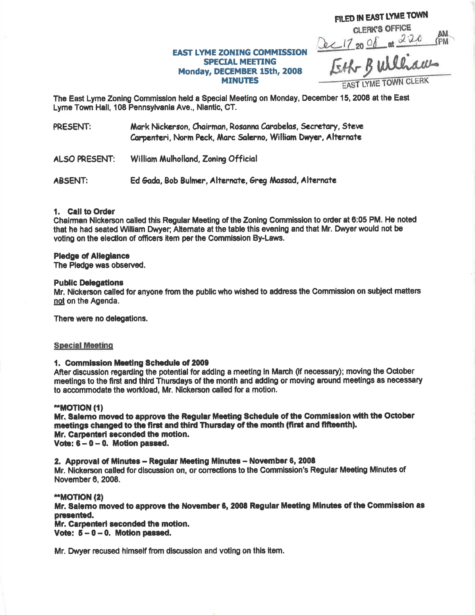# FILED IN EAST LYME TOWN **CLERK'S OFFICE** Dec 17 20 Of at 220 PM **EAST LYME ZONING COMMISSION** Monday, DECEMBER 15th, 2008

## EAST LYME TOWN CLERK

The East Lyme Zoning Commission held a Special Meeting on Monday, December 15, 2008 at the East Lyme Town Hall, 108 Pennsylvania Ave., Niantic, CT.

**SPECIAL MEETING** 

**MINUTES** 

PRESENT: Mark Nickerson, Chairman, Rosanna Carabelas, Secretary, Steve Carpenteri, Norm Peck, Marc Salerno, William Dwyer, Alternate

**ALSO PRESENT:** William Mulholland, Zoning Official

**ABSENT:** Ed Gada, Bob Bulmer, Alternate, Greg Massad, Alternate

### 1. Call to Order

Chairman Nickerson called this Regular Meeting of the Zoning Commission to order at 6:05 PM. He noted that he had seated William Dwyer; Alternate at the table this evening and that Mr. Dwyer would not be voting on the election of officers item per the Commission By-Laws.

### **Pledge of Allegiance**

The Pledge was observed.

### **Public Delegations**

Mr. Nickerson called for anyone from the public who wished to address the Commission on subject matters not on the Agenda.

There were no delegations.

### **Special Meeting**

### 1. Commission Meeting Schedule of 2009

After discussion regarding the potential for adding a meeting in March (if necessary); moving the October meetings to the first and third Thursdays of the month and adding or moving around meetings as necessary to accommodate the workload. Mr. Nickerson called for a motion.

### \*\*MOTION (1)

Mr. Salemo moved to approve the Regular Meeting Schedule of the Commission with the October meetings changed to the first and third Thursday of the month (first and fifteenth). Mr. Carpenteri seconded the motion. Vote:  $6 - 0 - 0$ . Motion passed.

2. Approval of Minutes - Regular Meeting Minutes - November 6, 2008

Mr. Nickerson called for discussion on, or corrections to the Commission's Regular Meeting Minutes of November 6, 2008.

### "MOTION (2)

Mr. Salemo moved to approve the November 6, 2008 Regular Meeting Minutes of the Commission as presented.

Mr. Carpenteri seconded the motion. Vote:  $5 - 0 - 0$ . Motion passed.

Mr. Dwyer recused himself from discussion and voting on this item.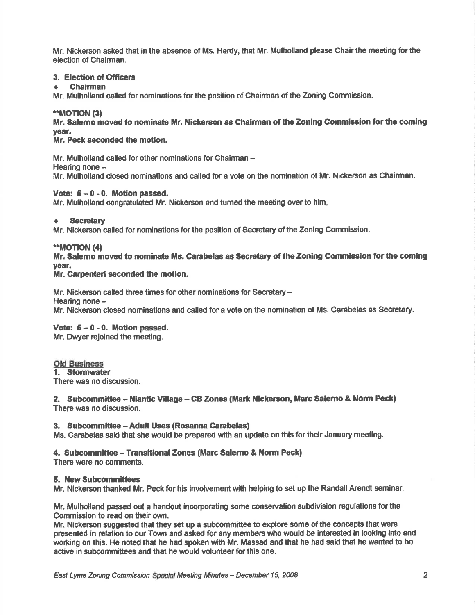Mr. Nickerson asked that in the absence of Ms. Hardy, that Mr. Mulholland please Chair the meeting for the election of Chairman.

### 3. Election of Officers

### . Chairman

Mr. Mulholland called for nominations for the position of Chairman of the Zoning Commission.

### 'rMoTtoN (31

Mr. Salemo moved to nominate Mr. Nickerson as Chairman of the Zoning Commission for the coming year.

### Mr. Peck seconded the motion.

Mr. Mulholland called for other nominations for Chairman -Hearing none  $-$ Mr. Mulhollend closed nominatlons and called for a vote on the nomination of Mr. Nickerson as Chairman.

### Vote:  $5-0-0$ . Motion passed.

Mr. Mulholland congratulated Mr. Nickerson and tumed the meeting overto him

### $\div$  Secretary

Mr. Nickerson called for nominations forthe position of Secretary of the Zoning Commission.

### \*\*MOTION (4)

Mr. Salemo moved to nominate Ms. Carabelas as Secretary of the Zoning Commission for the coming year.

### Mr. Carpenteri seconded the motion.

Mr. Nickerson called three times for other nominations for Secretary -Hearing none -Mr. Nickerson closed nominations snd called for a vote on the nominatlon of Ms. Carabelas as Secretary.

### Vote:  $5 - 0 - 0$ . Motion passed.

Mr. Dwyer rejoined the meeting.

# Old Business<br>1. Stormwater

There was no discussion.

### 2. Subcommittee -- Niantic Village -- CB Zones (Mark Nickerson, Marc Salerno & Norm Peck) There was no discussion,

### 3. Subcommittee - Adult Uses (Rosanna Carabelas)

Ms. Garabelas said that she would be prepared wfth an update on this for their January meeting.

### 4. Subcommittee - Transitional Zones (Marc Salerno & Norm Peck)

There wene no comments.

### 5. New Subcommittees

Mr. Nickerson thanked Mr. Peck for his involvement w'th helping to set up the Randall Arendt seminar.

Mr. Mulholland passed out a handout incorporating some conservation subdivislon regulations forthe Commission to read on their own.

Mr. Nickerson suggested that they set up a subcommittee to explore some of the concepts that were presented in relation to our Town and asked for any members who would be interested in looking into and working on this. He noted that he had spoken with Mr. Massad and that he had said that he wanted to be active in subcommittees and that he would volunteer for this one.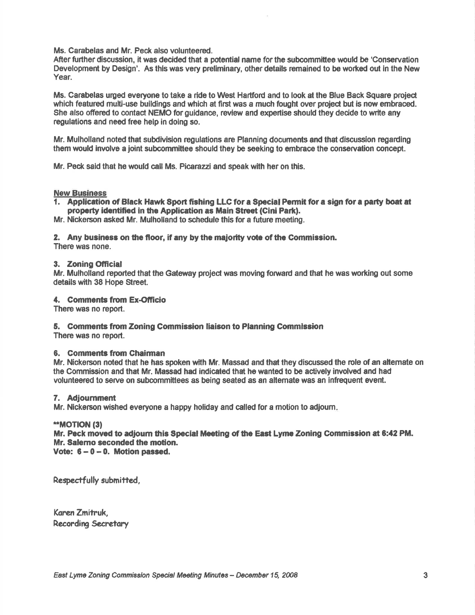Ms. Carabelas and Mr. Peck also volunteered.

After further discussion, it was decided that a potential name for the subcommittee would be 'Conservation Development by Design'. As this was very preliminary, other details remained to be worked out in the New Year.

Ms. Carabelas urged everyone to take a ride to West Hartford and to look at the Blue Back Square project which featured multi-use buildings and which at first was a much fought over project but is now embraced. She also offered to contact NEMO for quidance, review and expertise should they decide to write any regulations and need free help in doing so.

Mr. Mulholland noted that subdivision regulations are Planning documents and that discussion regarding them would involve a joint subcommittee should they be seeking to embrece the conservation concept.

Mr. Peck said that he would call Ms. Picarazzi and speak with her on this.

### **New Business**

1. Application of Black Hawk Sport fishing LLC for a Special Permit for a sign for a party boat at property identified in the Application as Main Street (Cini Park).

Mr. Nickerson asked Mr. Mulholland to schedule this for a future meeting.

### 2. Any business on the floor, if any by the majority vote of the Commission.

There was none.

### 3. Zoning Official

Mr. Mulholland reported that the Gateway project was moving forward and that he was working out some detailswith 38 Hope Street.

### 4. Comments from Ex-Officio

There was no report.

### 5. Comments from Zoning Commission liaison to Planning Commission

There was no report.

### 6. Comments from Ghairman

Mr. Nickerson noted that he has spoken with Mr. Massed and that they discussed the role of an altemate on the Gommission and that Mr. Massad had indicatod that he wented to be actively involved and had volunteered to serve on subcommittees as being seated as an alternate was an infrequent event.

### 7. Adiournment

Mr. Nickerson wished everyone a happy holiday and called for a motion to adjoum

### \*MOTION (3)

Mr. Peck moved to adjourn this Special Meeting of the East Lyme Zoning Commission at 6:42 PM. Mr. Salemo seconded the motion. Vote:  $6 - 0 - 0$ . Motion passed.

Respectfully submitted,

Koren Zmifruk, Recordirg Secretory